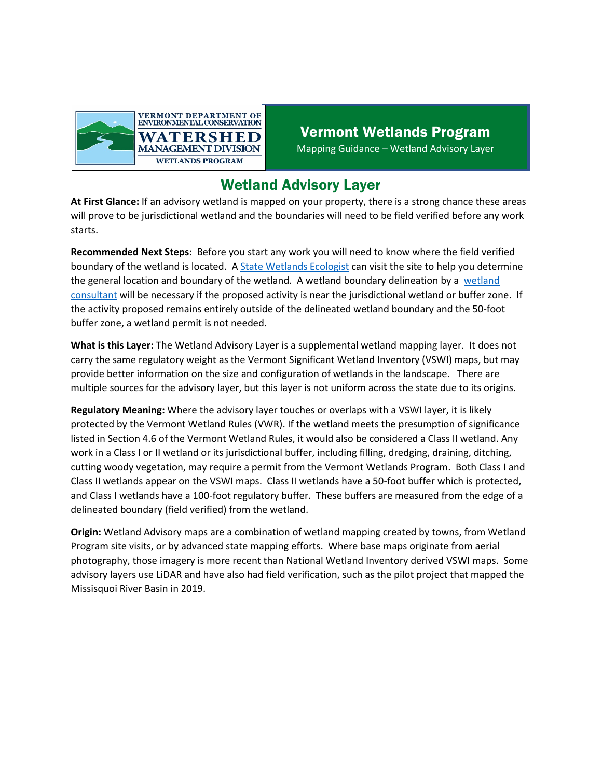

## Vermont Wetlands Program Mapping Guidance – Wetland Advisory Layer

## Wetland Advisory Layer

**At First Glance:** If an advisory wetland is mapped on your property, there is a strong chance these areas will prove to be jurisdictional wetland and the boundaries will need to be field verified before any work starts.

**Recommended Next Steps**: Before you start any work you will need to know where the field verified boundary of the wetland is located. [A State Wetlands Ecologist](https://dec.vermont.gov/watershed/wetlands/contact) can visit the site to help you determine the general location and boundary of the wetland. A [wetland](https://dec.vermont.gov/watershed/wetlands/what/id/wetland-consultant-list) boundary delineation by a wetland [consultant](https://dec.vermont.gov/watershed/wetlands/what/id/wetland-consultant-list) will be necessary if the proposed activity is near the jurisdictional wetland or buffer zone. If the activity proposed remains entirely outside of the delineated wetland boundary and the 50-foot buffer zone, a wetland permit is not needed.

**What is this Layer:** The Wetland Advisory Layer is a supplemental wetland mapping layer. It does not carry the same regulatory weight as the Vermont Significant Wetland Inventory (VSWI) maps, but may provide better information on the size and configuration of wetlands in the landscape. There are multiple sources for the advisory layer, but this layer is not uniform across the state due to its origins.

**Regulatory Meaning:** Where the advisory layer touches or overlaps with a VSWI layer, it is likely protected by the Vermont Wetland Rules (VWR). If the wetland meets the presumption of significance listed in Section 4.6 of the Vermont Wetland Rules, it would also be considered a Class II wetland. Any work in a Class I or II wetland or its jurisdictional buffer, including filling, dredging, draining, ditching, cutting woody vegetation, may require a permit from the Vermont Wetlands Program. Both Class I and Class II wetlands appear on the VSWI maps. Class II wetlands have a 50-foot buffer which is protected, and Class I wetlands have a 100-foot regulatory buffer. These buffers are measured from the edge of a delineated boundary (field verified) from the wetland.

**Origin:** Wetland Advisory maps are a combination of wetland mapping created by towns, from Wetland Program site visits, or by advanced state mapping efforts. Where base maps originate from aerial photography, those imagery is more recent than National Wetland Inventory derived VSWI maps. Some advisory layers use LiDAR and have also had field verification, such as the pilot project that mapped the Missisquoi River Basin in 2019.